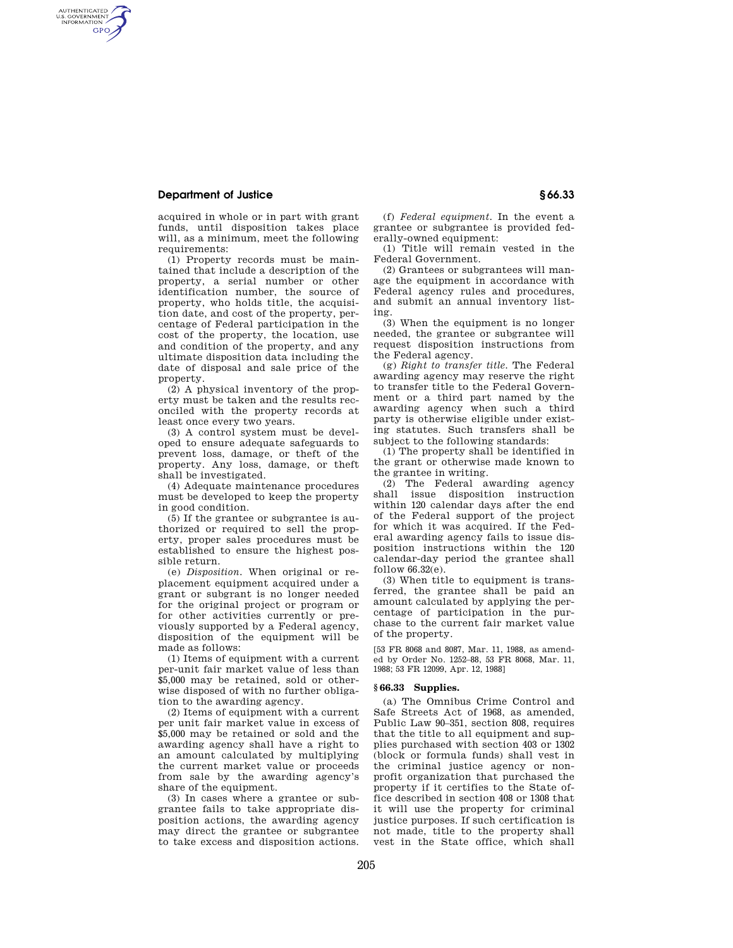## **Department of Justice § 66.33**

AUTHENTICATED<br>U.S. GOVERNMENT<br>INFORMATION **GPO** 

> acquired in whole or in part with grant funds, until disposition takes place will, as a minimum, meet the following requirements:

> (1) Property records must be maintained that include a description of the property, a serial number or other identification number, the source of property, who holds title, the acquisition date, and cost of the property, percentage of Federal participation in the cost of the property, the location, use and condition of the property, and any ultimate disposition data including the date of disposal and sale price of the property.

> (2) A physical inventory of the property must be taken and the results reconciled with the property records at least once every two years.

> (3) A control system must be developed to ensure adequate safeguards to prevent loss, damage, or theft of the property. Any loss, damage, or theft shall be investigated.

> (4) Adequate maintenance procedures must be developed to keep the property in good condition.

> (5) If the grantee or subgrantee is authorized or required to sell the property, proper sales procedures must be established to ensure the highest possible return.

> (e) *Disposition.* When original or replacement equipment acquired under a grant or subgrant is no longer needed for the original project or program or for other activities currently or previously supported by a Federal agency, disposition of the equipment will be made as follows:

> (1) Items of equipment with a current per-unit fair market value of less than \$5,000 may be retained, sold or otherwise disposed of with no further obligation to the awarding agency.

> (2) Items of equipment with a current per unit fair market value in excess of \$5,000 may be retained or sold and the awarding agency shall have a right to an amount calculated by multiplying the current market value or proceeds from sale by the awarding agency's share of the equipment.

> (3) In cases where a grantee or subgrantee fails to take appropriate disposition actions, the awarding agency may direct the grantee or subgrantee to take excess and disposition actions.

(f) *Federal equipment.* In the event a grantee or subgrantee is provided federally-owned equipment:

(1) Title will remain vested in the Federal Government.

(2) Grantees or subgrantees will manage the equipment in accordance with Federal agency rules and procedures, and submit an annual inventory listing.

(3) When the equipment is no longer needed, the grantee or subgrantee will request disposition instructions from the Federal agency.

(g) *Right to transfer title.* The Federal awarding agency may reserve the right to transfer title to the Federal Government or a third part named by the awarding agency when such a third party is otherwise eligible under existing statutes. Such transfers shall be subject to the following standards:

(1) The property shall be identified in the grant or otherwise made known to the grantee in writing.

(2) The Federal awarding agency shall issue disposition instruction within 120 calendar days after the end of the Federal support of the project for which it was acquired. If the Federal awarding agency fails to issue disposition instructions within the 120 calendar-day period the grantee shall follow 66.32(e).

(3) When title to equipment is transferred, the grantee shall be paid an amount calculated by applying the percentage of participation in the purchase to the current fair market value of the property.

[53 FR 8068 and 8087, Mar. 11, 1988, as amended by Order No. 1252–88, 53 FR 8068, Mar. 11, 1988; 53 FR 12099, Apr. 12, 1988]

#### **§ 66.33 Supplies.**

(a) The Omnibus Crime Control and Safe Streets Act of 1968, as amended, Public Law 90–351, section 808, requires that the title to all equipment and supplies purchased with section 403 or 1302 (block or formula funds) shall vest in the criminal justice agency or nonprofit organization that purchased the property if it certifies to the State office described in section 408 or 1308 that it will use the property for criminal justice purposes. If such certification is not made, title to the property shall vest in the State office, which shall